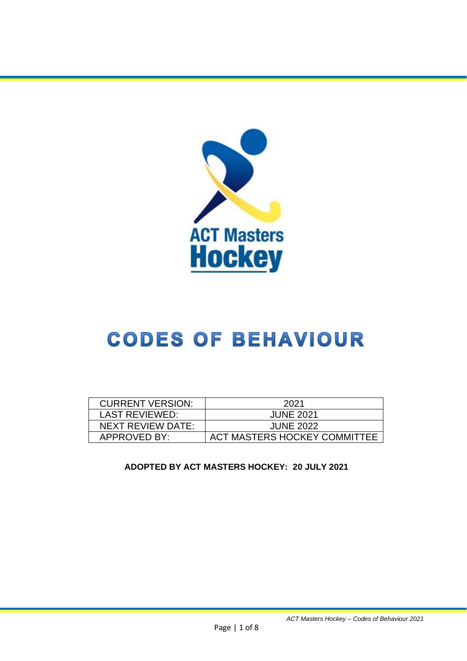

# **CODES OF BEHAVIOUR**

| <b>CURRENT VERSION:</b> | 2021                         |
|-------------------------|------------------------------|
| <b>LAST REVIEWED:</b>   | <b>JUNE 2021</b>             |
| NEXT REVIEW DATE:       | <b>JUNE 2022</b>             |
| APPROVED BY:            | ACT MASTERS HOCKEY COMMITTEE |

**ADOPTED BY ACT MASTERS HOCKEY: 20 JULY 2021**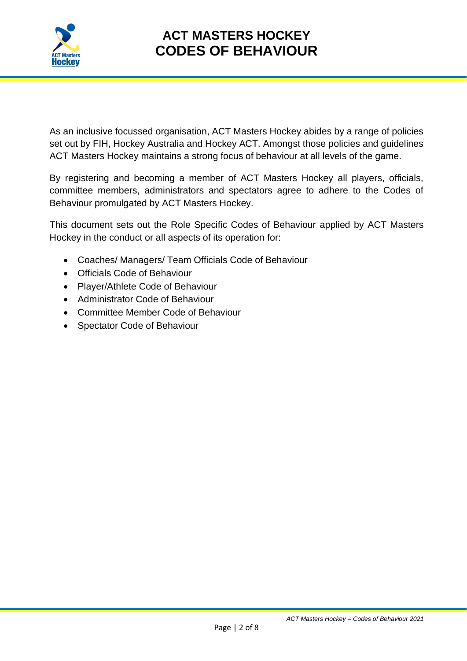

As an inclusive focussed organisation, ACT Masters Hockey abides by a range of policies set out by FIH, Hockey Australia and Hockey ACT. Amongst those policies and guidelines ACT Masters Hockey maintains a strong focus of behaviour at all levels of the game.

By registering and becoming a member of ACT Masters Hockey all players, officials, committee members, administrators and spectators agree to adhere to the Codes of Behaviour promulgated by ACT Masters Hockey.

This document sets out the Role Specific Codes of Behaviour applied by ACT Masters Hockey in the conduct or all aspects of its operation for:

- Coaches/ Managers/ Team Officials Code of Behaviour
- Officials Code of Behaviour
- Player/Athlete Code of Behaviour
- Administrator Code of Behaviour
- Committee Member Code of Behaviour
- Spectator Code of Behaviour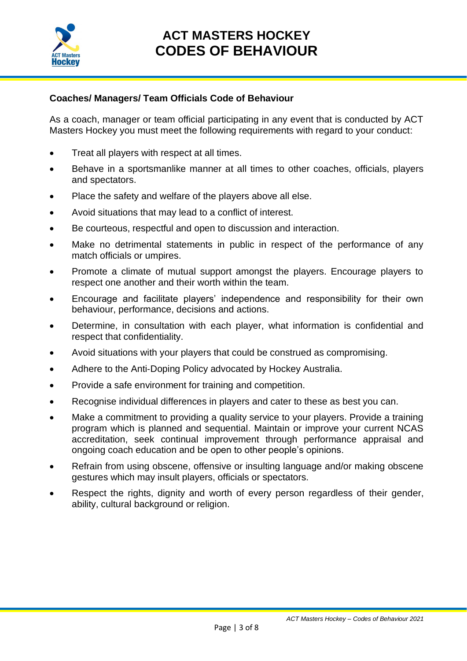

#### **Coaches/ Managers/ Team Officials Code of Behaviour**

As a coach, manager or team official participating in any event that is conducted by ACT Masters Hockey you must meet the following requirements with regard to your conduct:

- Treat all players with respect at all times.
- Behave in a sportsmanlike manner at all times to other coaches, officials, players and spectators.
- Place the safety and welfare of the players above all else.
- Avoid situations that may lead to a conflict of interest.
- Be courteous, respectful and open to discussion and interaction.
- Make no detrimental statements in public in respect of the performance of any match officials or umpires.
- Promote a climate of mutual support amongst the players. Encourage players to respect one another and their worth within the team.
- Encourage and facilitate players' independence and responsibility for their own behaviour, performance, decisions and actions.
- Determine, in consultation with each player, what information is confidential and respect that confidentiality.
- Avoid situations with your players that could be construed as compromising.
- Adhere to the Anti‐Doping Policy advocated by Hockey Australia.
- Provide a safe environment for training and competition.
- Recognise individual differences in players and cater to these as best you can.
- Make a commitment to providing a quality service to your players. Provide a training program which is planned and sequential. Maintain or improve your current NCAS accreditation, seek continual improvement through performance appraisal and ongoing coach education and be open to other people's opinions.
- Refrain from using obscene, offensive or insulting language and/or making obscene gestures which may insult players, officials or spectators.
- Respect the rights, dignity and worth of every person regardless of their gender, ability, cultural background or religion.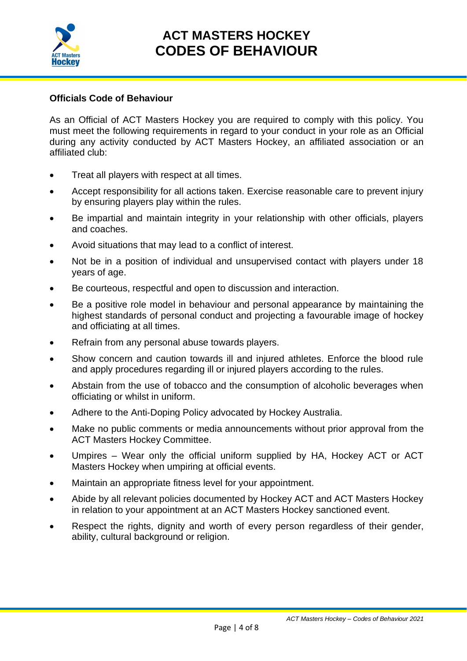

#### **Officials Code of Behaviour**

As an Official of ACT Masters Hockey you are required to comply with this policy. You must meet the following requirements in regard to your conduct in your role as an Official during any activity conducted by ACT Masters Hockey, an affiliated association or an affiliated club:

- Treat all players with respect at all times.
- Accept responsibility for all actions taken. Exercise reasonable care to prevent injury by ensuring players play within the rules.
- Be impartial and maintain integrity in your relationship with other officials, players and coaches.
- Avoid situations that may lead to a conflict of interest.
- Not be in a position of individual and unsupervised contact with players under 18 years of age.
- Be courteous, respectful and open to discussion and interaction.
- Be a positive role model in behaviour and personal appearance by maintaining the highest standards of personal conduct and projecting a favourable image of hockey and officiating at all times.
- Refrain from any personal abuse towards players.
- Show concern and caution towards ill and injured athletes. Enforce the blood rule and apply procedures regarding ill or injured players according to the rules.
- Abstain from the use of tobacco and the consumption of alcoholic beverages when officiating or whilst in uniform.
- Adhere to the Anti‐Doping Policy advocated by Hockey Australia.
- Make no public comments or media announcements without prior approval from the ACT Masters Hockey Committee.
- Umpires Wear only the official uniform supplied by HA, Hockey ACT or ACT Masters Hockey when umpiring at official events.
- Maintain an appropriate fitness level for your appointment.
- Abide by all relevant policies documented by Hockey ACT and ACT Masters Hockey in relation to your appointment at an ACT Masters Hockey sanctioned event.
- Respect the rights, dignity and worth of every person regardless of their gender, ability, cultural background or religion.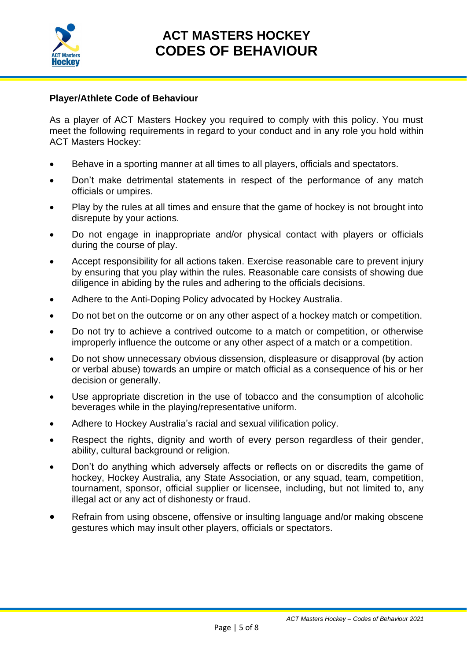

#### **Player/Athlete Code of Behaviour**

As a player of ACT Masters Hockey you required to comply with this policy. You must meet the following requirements in regard to your conduct and in any role you hold within ACT Masters Hockey:

- Behave in a sporting manner at all times to all players, officials and spectators.
- Don't make detrimental statements in respect of the performance of any match officials or umpires.
- Play by the rules at all times and ensure that the game of hockey is not brought into disrepute by your actions.
- Do not engage in inappropriate and/or physical contact with players or officials during the course of play.
- Accept responsibility for all actions taken. Exercise reasonable care to prevent injury by ensuring that you play within the rules. Reasonable care consists of showing due diligence in abiding by the rules and adhering to the officials decisions.
- Adhere to the Anti‐Doping Policy advocated by Hockey Australia.
- Do not bet on the outcome or on any other aspect of a hockey match or competition.
- Do not try to achieve a contrived outcome to a match or competition, or otherwise improperly influence the outcome or any other aspect of a match or a competition.
- Do not show unnecessary obvious dissension, displeasure or disapproval (by action or verbal abuse) towards an umpire or match official as a consequence of his or her decision or generally.
- Use appropriate discretion in the use of tobacco and the consumption of alcoholic beverages while in the playing/representative uniform.
- Adhere to Hockey Australia's racial and sexual vilification policy.
- Respect the rights, dignity and worth of every person regardless of their gender, ability, cultural background or religion.
- Don't do anything which adversely affects or reflects on or discredits the game of hockey, Hockey Australia, any State Association, or any squad, team, competition, tournament, sponsor, official supplier or licensee, including, but not limited to, any illegal act or any act of dishonesty or fraud.
- Refrain from using obscene, offensive or insulting language and/or making obscene gestures which may insult other players, officials or spectators.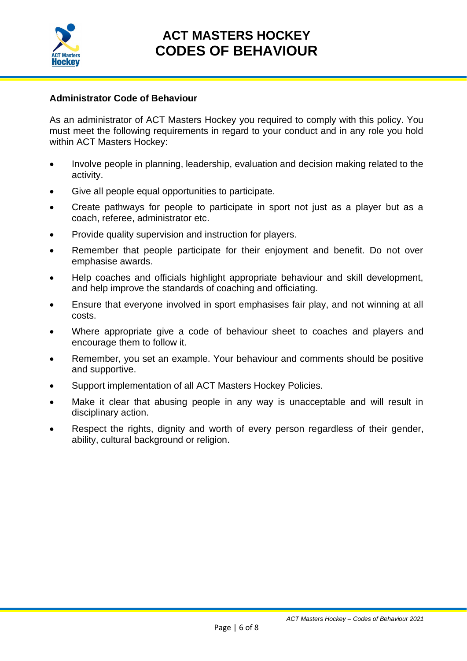

#### **Administrator Code of Behaviour**

As an administrator of ACT Masters Hockey you required to comply with this policy. You must meet the following requirements in regard to your conduct and in any role you hold within ACT Masters Hockey:

- Involve people in planning, leadership, evaluation and decision making related to the activity.
- Give all people equal opportunities to participate.
- Create pathways for people to participate in sport not just as a player but as a coach, referee, administrator etc.
- Provide quality supervision and instruction for players.
- Remember that people participate for their enjoyment and benefit. Do not over emphasise awards.
- Help coaches and officials highlight appropriate behaviour and skill development, and help improve the standards of coaching and officiating.
- Ensure that everyone involved in sport emphasises fair play, and not winning at all costs.
- Where appropriate give a code of behaviour sheet to coaches and players and encourage them to follow it.
- Remember, you set an example. Your behaviour and comments should be positive and supportive.
- Support implementation of all ACT Masters Hockey Policies.
- Make it clear that abusing people in any way is unacceptable and will result in disciplinary action.
- Respect the rights, dignity and worth of every person regardless of their gender, ability, cultural background or religion.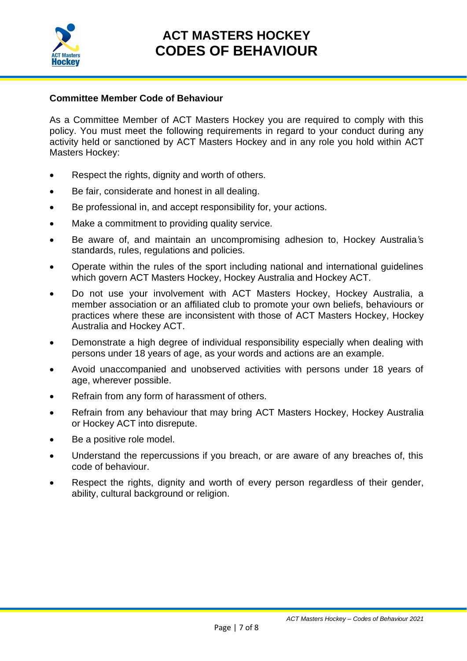

#### **Committee Member Code of Behaviour**

As a Committee Member of ACT Masters Hockey you are required to comply with this policy. You must meet the following requirements in regard to your conduct during any activity held or sanctioned by ACT Masters Hockey and in any role you hold within ACT Masters Hockey:

- Respect the rights, dignity and worth of others.
- Be fair, considerate and honest in all dealing.
- Be professional in, and accept responsibility for, your actions.
- Make a commitment to providing quality service.
- Be aware of, and maintain an uncompromising adhesion to, Hockey Australia*'*s standards, rules, regulations and policies.
- Operate within the rules of the sport including national and international guidelines which govern ACT Masters Hockey, Hockey Australia and Hockey ACT.
- Do not use your involvement with ACT Masters Hockey, Hockey Australia, a member association or an affiliated club to promote your own beliefs, behaviours or practices where these are inconsistent with those of ACT Masters Hockey, Hockey Australia and Hockey ACT.
- Demonstrate a high degree of individual responsibility especially when dealing with persons under 18 years of age, as your words and actions are an example.
- Avoid unaccompanied and unobserved activities with persons under 18 years of age, wherever possible.
- Refrain from any form of harassment of others.
- Refrain from any behaviour that may bring ACT Masters Hockey, Hockey Australia or Hockey ACT into disrepute.
- Be a positive role model.
- Understand the repercussions if you breach, or are aware of any breaches of, this code of behaviour.
- Respect the rights, dignity and worth of every person regardless of their gender, ability, cultural background or religion.